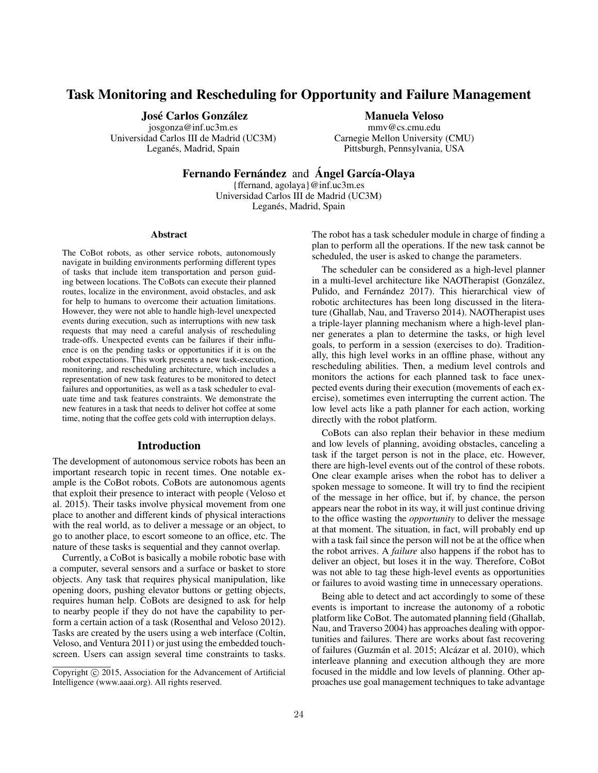# Task Monitoring and Rescheduling for Opportunity and Failure Management

José Carlos González

josgonza@inf.uc3m.es Universidad Carlos III de Madrid (UC3M) Leganés, Madrid, Spain

### Manuela Veloso

mmv@cs.cmu.edu Carnegie Mellon University (CMU) Pittsburgh, Pennsylvania, USA

Fernando Fernández and Ángel García-Olaya

{ffernand, agolaya}@inf.uc3m.es Universidad Carlos III de Madrid (UC3M) Leganés, Madrid, Spain

#### Abstract

The CoBot robots, as other service robots, autonomously navigate in building environments performing different types of tasks that include item transportation and person guiding between locations. The CoBots can execute their planned routes, localize in the environment, avoid obstacles, and ask for help to humans to overcome their actuation limitations. However, they were not able to handle high-level unexpected events during execution, such as interruptions with new task requests that may need a careful analysis of rescheduling trade-offs. Unexpected events can be failures if their influence is on the pending tasks or opportunities if it is on the robot expectations. This work presents a new task-execution, monitoring, and rescheduling architecture, which includes a representation of new task features to be monitored to detect failures and opportunities, as well as a task scheduler to evaluate time and task features constraints. We demonstrate the new features in a task that needs to deliver hot coffee at some time, noting that the coffee gets cold with interruption delays.

### Introduction

The development of autonomous service robots has been an important research topic in recent times. One notable example is the CoBot robots. CoBots are autonomous agents that exploit their presence to interact with people (Veloso et al. 2015). Their tasks involve physical movement from one place to another and different kinds of physical interactions with the real world, as to deliver a message or an object, to go to another place, to escort someone to an office, etc. The nature of these tasks is sequential and they cannot overlap.

Currently, a CoBot is basically a mobile robotic base with a computer, several sensors and a surface or basket to store objects. Any task that requires physical manipulation, like opening doors, pushing elevator buttons or getting objects, requires human help. CoBots are designed to ask for help to nearby people if they do not have the capability to perform a certain action of a task (Rosenthal and Veloso 2012). Tasks are created by the users using a web interface (Coltin, Veloso, and Ventura 2011) or just using the embedded touchscreen. Users can assign several time constraints to tasks.

The robot has a task scheduler module in charge of finding a plan to perform all the operations. If the new task cannot be scheduled, the user is asked to change the parameters.

The scheduler can be considered as a high-level planner in a multi-level architecture like NAOTherapist (González, Pulido, and Fernández 2017). This hierarchical view of robotic architectures has been long discussed in the literature (Ghallab, Nau, and Traverso 2014). NAOTherapist uses a triple-layer planning mechanism where a high-level planner generates a plan to determine the tasks, or high level goals, to perform in a session (exercises to do). Traditionally, this high level works in an offline phase, without any rescheduling abilities. Then, a medium level controls and monitors the actions for each planned task to face unexpected events during their execution (movements of each exercise), sometimes even interrupting the current action. The low level acts like a path planner for each action, working directly with the robot platform.

CoBots can also replan their behavior in these medium and low levels of planning, avoiding obstacles, canceling a task if the target person is not in the place, etc. However, there are high-level events out of the control of these robots. One clear example arises when the robot has to deliver a spoken message to someone. It will try to find the recipient of the message in her office, but if, by chance, the person appears near the robot in its way, it will just continue driving to the office wasting the *opportunity* to deliver the message at that moment. The situation, in fact, will probably end up with a task fail since the person will not be at the office when the robot arrives. A *failure* also happens if the robot has to deliver an object, but loses it in the way. Therefore, CoBot was not able to tag these high-level events as opportunities or failures to avoid wasting time in unnecessary operations.

Being able to detect and act accordingly to some of these events is important to increase the autonomy of a robotic platform like CoBot. The automated planning field (Ghallab, Nau, and Traverso 2004) has approaches dealing with opportunities and failures. There are works about fast recovering of failures (Guzmán et al. 2015; Alcázar et al. 2010), which interleave planning and execution although they are more focused in the middle and low levels of planning. Other approaches use goal management techniques to take advantage

Copyright (c) 2015, Association for the Advancement of Artificial Intelligence (www.aaai.org). All rights reserved.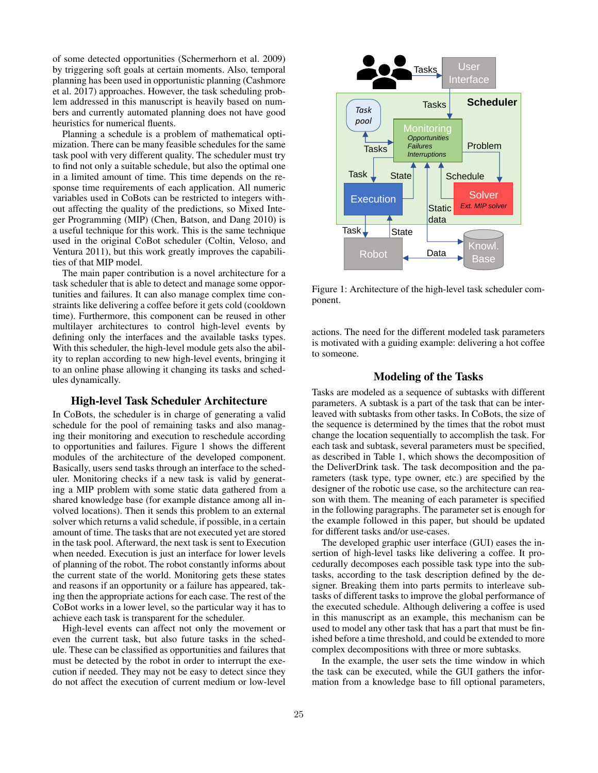of some detected opportunities (Schermerhorn et al. 2009) by triggering soft goals at certain moments. Also, temporal planning has been used in opportunistic planning (Cashmore et al. 2017) approaches. However, the task scheduling problem addressed in this manuscript is heavily based on numbers and currently automated planning does not have good heuristics for numerical fluents.

Planning a schedule is a problem of mathematical optimization. There can be many feasible schedules for the same task pool with very different quality. The scheduler must try to find not only a suitable schedule, but also the optimal one in a limited amount of time. This time depends on the response time requirements of each application. All numeric variables used in CoBots can be restricted to integers without affecting the quality of the predictions, so Mixed Integer Programming (MIP) (Chen, Batson, and Dang 2010) is a useful technique for this work. This is the same technique used in the original CoBot scheduler (Coltin, Veloso, and Ventura 2011), but this work greatly improves the capabilities of that MIP model.

The main paper contribution is a novel architecture for a task scheduler that is able to detect and manage some opportunities and failures. It can also manage complex time constraints like delivering a coffee before it gets cold (cooldown time). Furthermore, this component can be reused in other multilayer architectures to control high-level events by defining only the interfaces and the available tasks types. With this scheduler, the high-level module gets also the ability to replan according to new high-level events, bringing it to an online phase allowing it changing its tasks and schedules dynamically.

## High-level Task Scheduler Architecture

In CoBots, the scheduler is in charge of generating a valid schedule for the pool of remaining tasks and also managing their monitoring and execution to reschedule according to opportunities and failures. Figure 1 shows the different modules of the architecture of the developed component. Basically, users send tasks through an interface to the scheduler. Monitoring checks if a new task is valid by generating a MIP problem with some static data gathered from a shared knowledge base (for example distance among all involved locations). Then it sends this problem to an external solver which returns a valid schedule, if possible, in a certain amount of time. The tasks that are not executed yet are stored in the task pool. Afterward, the next task is sent to Execution when needed. Execution is just an interface for lower levels of planning of the robot. The robot constantly informs about the current state of the world. Monitoring gets these states and reasons if an opportunity or a failure has appeared, taking then the appropriate actions for each case. The rest of the CoBot works in a lower level, so the particular way it has to achieve each task is transparent for the scheduler.

High-level events can affect not only the movement or even the current task, but also future tasks in the schedule. These can be classified as opportunities and failures that must be detected by the robot in order to interrupt the execution if needed. They may not be easy to detect since they do not affect the execution of current medium or low-level



Figure 1: Architecture of the high-level task scheduler component.

actions. The need for the different modeled task parameters is motivated with a guiding example: delivering a hot coffee to someone.

### Modeling of the Tasks

Tasks are modeled as a sequence of subtasks with different parameters. A subtask is a part of the task that can be interleaved with subtasks from other tasks. In CoBots, the size of the sequence is determined by the times that the robot must change the location sequentially to accomplish the task. For each task and subtask, several parameters must be specified, as described in Table 1, which shows the decomposition of the DeliverDrink task. The task decomposition and the parameters (task type, type owner, etc.) are specified by the designer of the robotic use case, so the architecture can reason with them. The meaning of each parameter is specified in the following paragraphs. The parameter set is enough for the example followed in this paper, but should be updated for different tasks and/or use-cases.

The developed graphic user interface (GUI) eases the insertion of high-level tasks like delivering a coffee. It procedurally decomposes each possible task type into the subtasks, according to the task description defined by the designer. Breaking them into parts permits to interleave subtasks of different tasks to improve the global performance of the executed schedule. Although delivering a coffee is used in this manuscript as an example, this mechanism can be used to model any other task that has a part that must be finished before a time threshold, and could be extended to more complex decompositions with three or more subtasks.

In the example, the user sets the time window in which the task can be executed, while the GUI gathers the information from a knowledge base to fill optional parameters,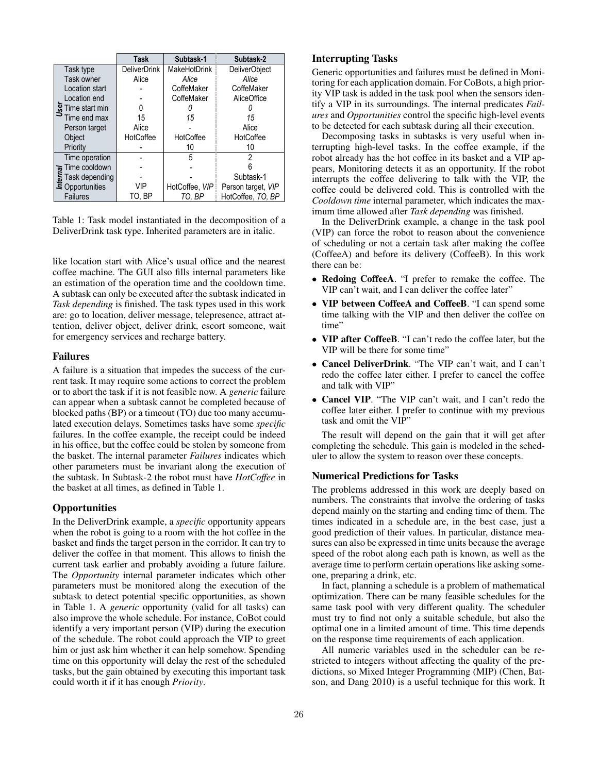|                                  | Task                | Subtask-1      | Subtask-2                                   |  |  |
|----------------------------------|---------------------|----------------|---------------------------------------------|--|--|
| Task type                        | <b>DeliverDrink</b> | MakeHotDrink   | <b>DeliverObject</b><br>Alice<br>CoffeMaker |  |  |
| Task owner                       | Alice               | Alice          |                                             |  |  |
| Location start                   |                     | CoffeMaker     |                                             |  |  |
| Location end                     |                     | CoffeMaker     | <b>AliceOffice</b>                          |  |  |
| $\frac{3}{2}$ Time start min     |                     |                |                                             |  |  |
| Time end max                     | 15                  | 15             | 15                                          |  |  |
| Person target                    | Alice               |                | Alice                                       |  |  |
| Object                           | HotCoffee           | HotCoffee      | HotCoffee                                   |  |  |
| Priority                         |                     | 10             | 10                                          |  |  |
| Time operation                   |                     | 5              | 2                                           |  |  |
| Time cooldown                    |                     |                |                                             |  |  |
| Task depending                   |                     |                | Subtask-1                                   |  |  |
| Task dependin<br>E Opportunities | VIP                 | HotCoffee, VIP | Person target, VIP                          |  |  |
| <b>Failures</b>                  | to. Bp              | TO. BP         | HotCoffee, TO, BP                           |  |  |

Table 1: Task model instantiated in the decomposition of a DeliverDrink task type. Inherited parameters are in italic.

like location start with Alice's usual office and the nearest coffee machine. The GUI also fills internal parameters like an estimation of the operation time and the cooldown time. A subtask can only be executed after the subtask indicated in *Task depending* is finished. The task types used in this work are: go to location, deliver message, telepresence, attract attention, deliver object, deliver drink, escort someone, wait for emergency services and recharge battery.

### Failures

A failure is a situation that impedes the success of the current task. It may require some actions to correct the problem or to abort the task if it is not feasible now. A *generic* failure can appear when a subtask cannot be completed because of blocked paths (BP) or a timeout (TO) due too many accumulated execution delays. Sometimes tasks have some *specific* failures. In the coffee example, the receipt could be indeed in his office, but the coffee could be stolen by someone from the basket. The internal parameter *Failures* indicates which other parameters must be invariant along the execution of the subtask. In Subtask-2 the robot must have *HotCoffee* in the basket at all times, as defined in Table 1.

### **Opportunities**

In the DeliverDrink example, a *specific* opportunity appears when the robot is going to a room with the hot coffee in the basket and finds the target person in the corridor. It can try to deliver the coffee in that moment. This allows to finish the current task earlier and probably avoiding a future failure. The *Opportunity* internal parameter indicates which other parameters must be monitored along the execution of the subtask to detect potential specific opportunities, as shown in Table 1. A *generic* opportunity (valid for all tasks) can also improve the whole schedule. For instance, CoBot could identify a very important person (VIP) during the execution of the schedule. The robot could approach the VIP to greet him or just ask him whether it can help somehow. Spending time on this opportunity will delay the rest of the scheduled tasks, but the gain obtained by executing this important task could worth it if it has enough *Priority*.

# Interrupting Tasks

Generic opportunities and failures must be defined in Monitoring for each application domain. For CoBots, a high priority VIP task is added in the task pool when the sensors identify a VIP in its surroundings. The internal predicates *Failures* and *Opportunities* control the specific high-level events to be detected for each subtask during all their execution.

Decomposing tasks in subtasks is very useful when interrupting high-level tasks. In the coffee example, if the robot already has the hot coffee in its basket and a VIP appears, Monitoring detects it as an opportunity. If the robot interrupts the coffee delivering to talk with the VIP, the coffee could be delivered cold. This is controlled with the *Cooldown time* internal parameter, which indicates the maximum time allowed after *Task depending* was finished.

In the DeliverDrink example, a change in the task pool (VIP) can force the robot to reason about the convenience of scheduling or not a certain task after making the coffee (CoffeeA) and before its delivery (CoffeeB). In this work there can be:

- Redoing CoffeeA. "I prefer to remake the coffee. The VIP can't wait, and I can deliver the coffee later"
- VIP between CoffeeA and CoffeeB. "I can spend some time talking with the VIP and then deliver the coffee on time"
- VIP after CoffeeB. "I can't redo the coffee later, but the VIP will be there for some time"
- Cancel DeliverDrink. "The VIP can't wait, and I can't redo the coffee later either. I prefer to cancel the coffee and talk with VIP"
- Cancel VIP. "The VIP can't wait, and I can't redo the coffee later either. I prefer to continue with my previous task and omit the VIP"

The result will depend on the gain that it will get after completing the schedule. This gain is modeled in the scheduler to allow the system to reason over these concepts.

#### Numerical Predictions for Tasks

The problems addressed in this work are deeply based on numbers. The constraints that involve the ordering of tasks depend mainly on the starting and ending time of them. The times indicated in a schedule are, in the best case, just a good prediction of their values. In particular, distance measures can also be expressed in time units because the average speed of the robot along each path is known, as well as the average time to perform certain operations like asking someone, preparing a drink, etc.

In fact, planning a schedule is a problem of mathematical optimization. There can be many feasible schedules for the same task pool with very different quality. The scheduler must try to find not only a suitable schedule, but also the optimal one in a limited amount of time. This time depends on the response time requirements of each application.

All numeric variables used in the scheduler can be restricted to integers without affecting the quality of the predictions, so Mixed Integer Programming (MIP) (Chen, Batson, and Dang 2010) is a useful technique for this work. It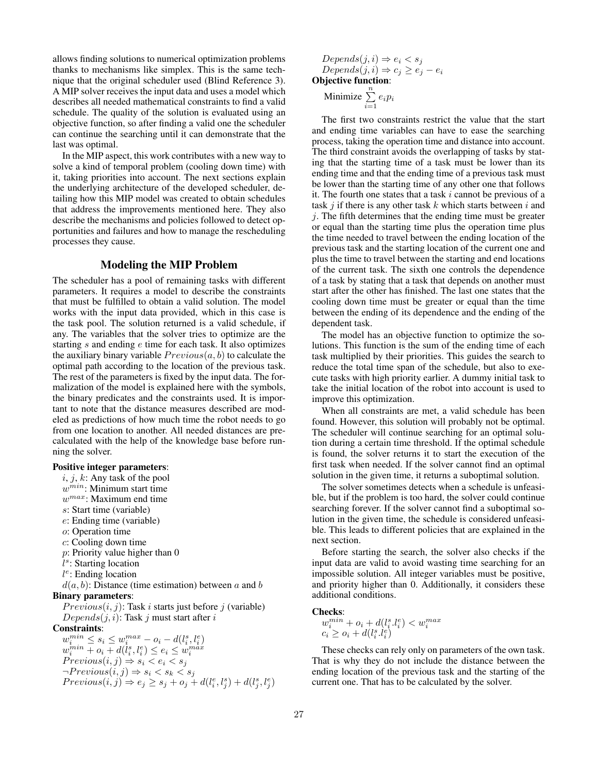allows finding solutions to numerical optimization problems thanks to mechanisms like simplex. This is the same technique that the original scheduler used (Blind Reference 3). A MIP solver receives the input data and uses a model which describes all needed mathematical constraints to find a valid schedule. The quality of the solution is evaluated using an objective function, so after finding a valid one the scheduler can continue the searching until it can demonstrate that the last was optimal.

In the MIP aspect, this work contributes with a new way to solve a kind of temporal problem (cooling down time) with it, taking priorities into account. The next sections explain the underlying architecture of the developed scheduler, detailing how this MIP model was created to obtain schedules that address the improvements mentioned here. They also describe the mechanisms and policies followed to detect opportunities and failures and how to manage the rescheduling processes they cause.

### Modeling the MIP Problem

The scheduler has a pool of remaining tasks with different parameters. It requires a model to describe the constraints that must be fulfilled to obtain a valid solution. The model works with the input data provided, which in this case is the task pool. The solution returned is a valid schedule, if any. The variables that the solver tries to optimize are the starting s and ending e time for each task. It also optimizes the auxiliary binary variable  $Previous(a, b)$  to calculate the optimal path according to the location of the previous task. The rest of the parameters is fixed by the input data. The formalization of the model is explained here with the symbols, the binary predicates and the constraints used. It is important to note that the distance measures described are modeled as predictions of how much time the robot needs to go from one location to another. All needed distances are precalculated with the help of the knowledge base before running the solver.

### Positive integer parameters:

 $i, j, k$ : Any task of the pool  $w^{min}$ : Minimum start time  $w^{max}$ : Maximum end time s: Start time (variable) e: Ending time (variable) o: Operation time c: Cooling down time  $p$ : Priority value higher than 0 l s : Starting location l e : Ending location  $d(a, b)$ : Distance (time estimation) between a and b Binary parameters:  $Previous(i, j)$ : Task i starts just before j (variable)  $Depends(j, i)$ : Task j must start after i Constraints:

 $w_i^{min} \leq s_i \leq w_i^{max} - o_i - d(l_i^s, l_i^e)$  $w_i^{min} + o_i + d(l_i^s,l_i^e) \leq e_i \leq w_i^{max}$  $Previous(i, j) \Rightarrow s_i < e_i < s_j$  $\neg Previous(i, j) \Rightarrow s_i < s_k < s_j$  $Previous(i, j) \Rightarrow e_j \geq s_j + o_j + d(l_i^e, l_j^s) + d(l_j^s, l_j^e)$ 

*Depends*(j, i) 
$$
\Rightarrow
$$
  $e_i < s_j$   
*Depends*(j, i)  $\Rightarrow$   $c_j \ge e_j - e_i$   
**Objective function**:  
**Minimize**  $\sum_{i=1}^{n} e_i p_i$ 

The first two constraints restrict the value that the start and ending time variables can have to ease the searching process, taking the operation time and distance into account. The third constraint avoids the overlapping of tasks by stating that the starting time of a task must be lower than its ending time and that the ending time of a previous task must be lower than the starting time of any other one that follows it. The fourth one states that a task  $i$  cannot be previous of a task  $j$  if there is any other task  $k$  which starts between  $i$  and  $i$ . The fifth determines that the ending time must be greater or equal than the starting time plus the operation time plus the time needed to travel between the ending location of the previous task and the starting location of the current one and plus the time to travel between the starting and end locations of the current task. The sixth one controls the dependence of a task by stating that a task that depends on another must start after the other has finished. The last one states that the cooling down time must be greater or equal than the time between the ending of its dependence and the ending of the dependent task.

The model has an objective function to optimize the solutions. This function is the sum of the ending time of each task multiplied by their priorities. This guides the search to reduce the total time span of the schedule, but also to execute tasks with high priority earlier. A dummy initial task to take the initial location of the robot into account is used to improve this optimization.

When all constraints are met, a valid schedule has been found. However, this solution will probably not be optimal. The scheduler will continue searching for an optimal solution during a certain time threshold. If the optimal schedule is found, the solver returns it to start the execution of the first task when needed. If the solver cannot find an optimal solution in the given time, it returns a suboptimal solution.

The solver sometimes detects when a schedule is unfeasible, but if the problem is too hard, the solver could continue searching forever. If the solver cannot find a suboptimal solution in the given time, the schedule is considered unfeasible. This leads to different policies that are explained in the next section.

Before starting the search, the solver also checks if the input data are valid to avoid wasting time searching for an impossible solution. All integer variables must be positive, and priority higher than 0. Additionally, it considers these additional conditions.

#### Checks:

 $w_i^{min} + o_i + d(l_i^s.l_i^e) < w_i^{max}$ <br>  $c_i \ge o_i + d(l_i^s.l_i^e)$ 

These checks can rely only on parameters of the own task. That is why they do not include the distance between the ending location of the previous task and the starting of the current one. That has to be calculated by the solver.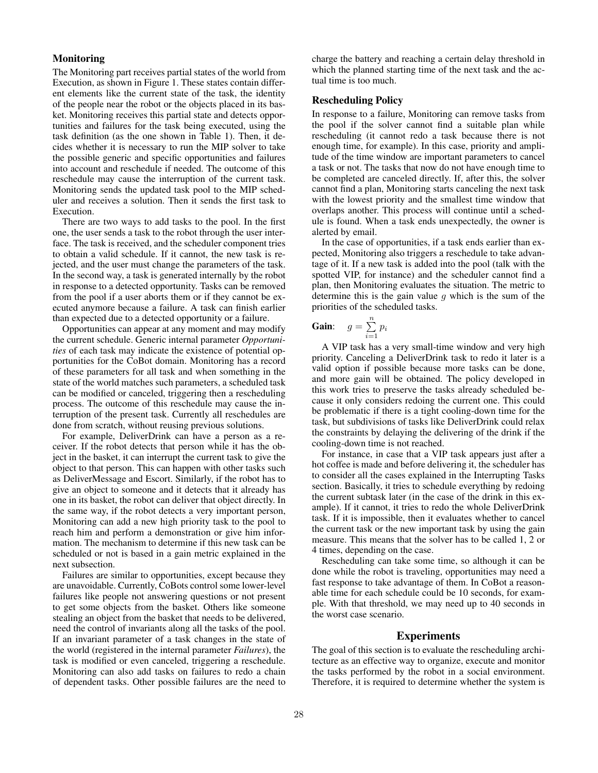### **Monitoring**

The Monitoring part receives partial states of the world from Execution, as shown in Figure 1. These states contain different elements like the current state of the task, the identity of the people near the robot or the objects placed in its basket. Monitoring receives this partial state and detects opportunities and failures for the task being executed, using the task definition (as the one shown in Table 1). Then, it decides whether it is necessary to run the MIP solver to take the possible generic and specific opportunities and failures into account and reschedule if needed. The outcome of this reschedule may cause the interruption of the current task. Monitoring sends the updated task pool to the MIP scheduler and receives a solution. Then it sends the first task to Execution.

There are two ways to add tasks to the pool. In the first one, the user sends a task to the robot through the user interface. The task is received, and the scheduler component tries to obtain a valid schedule. If it cannot, the new task is rejected, and the user must change the parameters of the task. In the second way, a task is generated internally by the robot in response to a detected opportunity. Tasks can be removed from the pool if a user aborts them or if they cannot be executed anymore because a failure. A task can finish earlier than expected due to a detected opportunity or a failure.

Opportunities can appear at any moment and may modify the current schedule. Generic internal parameter *Opportunities* of each task may indicate the existence of potential opportunities for the CoBot domain. Monitoring has a record of these parameters for all task and when something in the state of the world matches such parameters, a scheduled task can be modified or canceled, triggering then a rescheduling process. The outcome of this reschedule may cause the interruption of the present task. Currently all reschedules are done from scratch, without reusing previous solutions.

For example, DeliverDrink can have a person as a receiver. If the robot detects that person while it has the object in the basket, it can interrupt the current task to give the object to that person. This can happen with other tasks such as DeliverMessage and Escort. Similarly, if the robot has to give an object to someone and it detects that it already has one in its basket, the robot can deliver that object directly. In the same way, if the robot detects a very important person, Monitoring can add a new high priority task to the pool to reach him and perform a demonstration or give him information. The mechanism to determine if this new task can be scheduled or not is based in a gain metric explained in the next subsection.

Failures are similar to opportunities, except because they are unavoidable. Currently, CoBots control some lower-level failures like people not answering questions or not present to get some objects from the basket. Others like someone stealing an object from the basket that needs to be delivered, need the control of invariants along all the tasks of the pool. If an invariant parameter of a task changes in the state of the world (registered in the internal parameter *Failures*), the task is modified or even canceled, triggering a reschedule. Monitoring can also add tasks on failures to redo a chain of dependent tasks. Other possible failures are the need to

charge the battery and reaching a certain delay threshold in which the planned starting time of the next task and the actual time is too much.

#### Rescheduling Policy

In response to a failure, Monitoring can remove tasks from the pool if the solver cannot find a suitable plan while rescheduling (it cannot redo a task because there is not enough time, for example). In this case, priority and amplitude of the time window are important parameters to cancel a task or not. The tasks that now do not have enough time to be completed are canceled directly. If, after this, the solver cannot find a plan, Monitoring starts canceling the next task with the lowest priority and the smallest time window that overlaps another. This process will continue until a schedule is found. When a task ends unexpectedly, the owner is alerted by email.

In the case of opportunities, if a task ends earlier than expected, Monitoring also triggers a reschedule to take advantage of it. If a new task is added into the pool (talk with the spotted VIP, for instance) and the scheduler cannot find a plan, then Monitoring evaluates the situation. The metric to determine this is the gain value  $q$  which is the sum of the priorities of the scheduled tasks.

**Gain:** 
$$
g = \sum_{i=1}^{n} p_i
$$

A VIP task has a very small-time window and very high priority. Canceling a DeliverDrink task to redo it later is a valid option if possible because more tasks can be done, and more gain will be obtained. The policy developed in this work tries to preserve the tasks already scheduled because it only considers redoing the current one. This could be problematic if there is a tight cooling-down time for the task, but subdivisions of tasks like DeliverDrink could relax the constraints by delaying the delivering of the drink if the cooling-down time is not reached.

For instance, in case that a VIP task appears just after a hot coffee is made and before delivering it, the scheduler has to consider all the cases explained in the Interrupting Tasks section. Basically, it tries to schedule everything by redoing the current subtask later (in the case of the drink in this example). If it cannot, it tries to redo the whole DeliverDrink task. If it is impossible, then it evaluates whether to cancel the current task or the new important task by using the gain measure. This means that the solver has to be called 1, 2 or 4 times, depending on the case.

Rescheduling can take some time, so although it can be done while the robot is traveling, opportunities may need a fast response to take advantage of them. In CoBot a reasonable time for each schedule could be 10 seconds, for example. With that threshold, we may need up to 40 seconds in the worst case scenario.

#### Experiments

The goal of this section is to evaluate the rescheduling architecture as an effective way to organize, execute and monitor the tasks performed by the robot in a social environment. Therefore, it is required to determine whether the system is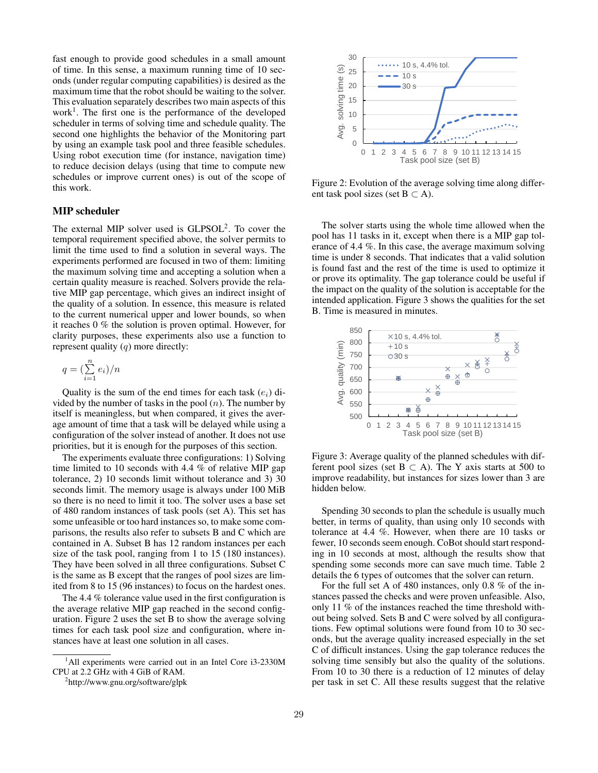fast enough to provide good schedules in a small amount of time. In this sense, a maximum running time of 10 seconds (under regular computing capabilities) is desired as the maximum time that the robot should be waiting to the solver. This evaluation separately describes two main aspects of this work<sup>1</sup>. The first one is the performance of the developed scheduler in terms of solving time and schedule quality. The second one highlights the behavior of the Monitoring part by using an example task pool and three feasible schedules. Using robot execution time (for instance, navigation time) to reduce decision delays (using that time to compute new schedules or improve current ones) is out of the scope of this work.

# MIP scheduler

The external MIP solver used is  $GLPSOL<sup>2</sup>$ . To cover the temporal requirement specified above, the solver permits to limit the time used to find a solution in several ways. The experiments performed are focused in two of them: limiting the maximum solving time and accepting a solution when a certain quality measure is reached. Solvers provide the relative MIP gap percentage, which gives an indirect insight of the quality of a solution. In essence, this measure is related to the current numerical upper and lower bounds, so when it reaches 0 % the solution is proven optimal. However, for clarity purposes, these experiments also use a function to represent quality  $(q)$  more directly:

$$
q = \left(\sum_{i=1}^{n} e_i\right)/n
$$

Quality is the sum of the end times for each task  $(e_i)$  divided by the number of tasks in the pool  $(n)$ . The number by itself is meaningless, but when compared, it gives the average amount of time that a task will be delayed while using a configuration of the solver instead of another. It does not use priorities, but it is enough for the purposes of this section.

The experiments evaluate three configurations: 1) Solving time limited to 10 seconds with 4.4 % of relative MIP gap tolerance, 2) 10 seconds limit without tolerance and 3) 30 seconds limit. The memory usage is always under 100 MiB so there is no need to limit it too. The solver uses a base set of 480 random instances of task pools (set A). This set has some unfeasible or too hard instances so, to make some comparisons, the results also refer to subsets B and C which are contained in A. Subset B has 12 random instances per each size of the task pool, ranging from 1 to 15 (180 instances). They have been solved in all three configurations. Subset C is the same as B except that the ranges of pool sizes are limited from 8 to 15 (96 instances) to focus on the hardest ones.

The 4.4 % tolerance value used in the first configuration is the average relative MIP gap reached in the second configuration. Figure 2 uses the set B to show the average solving times for each task pool size and configuration, where instances have at least one solution in all cases.



Figure 2: Evolution of the average solving time along different task pool sizes (set  $B \subset A$ ).

The solver starts using the whole time allowed when the pool has 11 tasks in it, except when there is a MIP gap tolerance of 4.4 %. In this case, the average maximum solving time is under 8 seconds. That indicates that a valid solution is found fast and the rest of the time is used to optimize it or prove its optimality. The gap tolerance could be useful if the impact on the quality of the solution is acceptable for the intended application. Figure 3 shows the qualities for the set B. Time is measured in minutes.



Figure 3: Average quality of the planned schedules with different pool sizes (set  $B \subset A$ ). The Y axis starts at 500 to improve readability, but instances for sizes lower than 3 are hidden below.

Spending 30 seconds to plan the schedule is usually much better, in terms of quality, than using only 10 seconds with tolerance at 4.4 %. However, when there are 10 tasks or fewer, 10 seconds seem enough. CoBot should start responding in 10 seconds at most, although the results show that spending some seconds more can save much time. Table 2 details the 6 types of outcomes that the solver can return.

For the full set A of 480 instances, only 0.8 % of the instances passed the checks and were proven unfeasible. Also, only 11 % of the instances reached the time threshold without being solved. Sets B and C were solved by all configurations. Few optimal solutions were found from 10 to 30 seconds, but the average quality increased especially in the set C of difficult instances. Using the gap tolerance reduces the solving time sensibly but also the quality of the solutions. From 10 to 30 there is a reduction of 12 minutes of delay per task in set C. All these results suggest that the relative

<sup>&</sup>lt;sup>1</sup>All experiments were carried out in an Intel Core i3-2330M CPU at 2.2 GHz with 4 GiB of RAM.

<sup>2</sup> http://www.gnu.org/software/glpk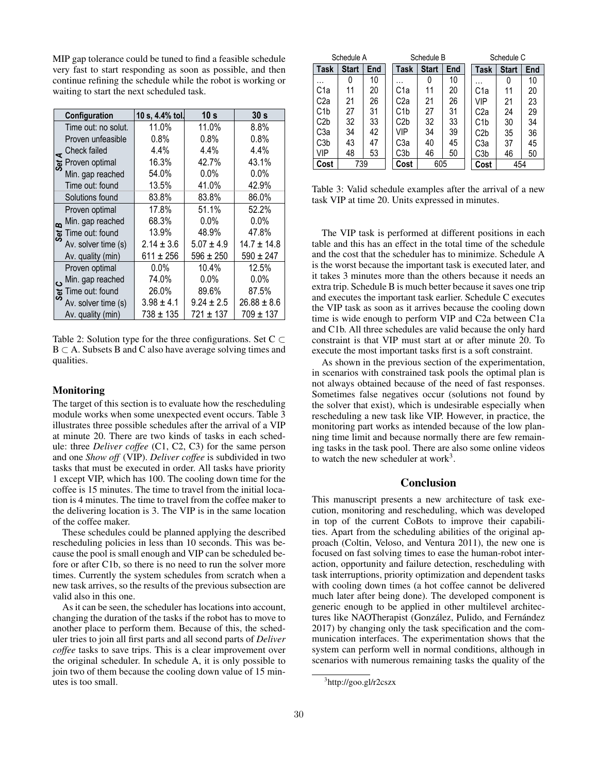MIP gap tolerance could be tuned to find a feasible schedule very fast to start responding as soon as possible, and then continue refining the schedule while the robot is working or waiting to start the next scheduled task.

| Configuration |                     | 10 s, 4.4% tol. | 10 <sub>s</sub> | 30 <sub>s</sub> |  |
|---------------|---------------------|-----------------|-----------------|-----------------|--|
|               | Time out: no solut. | 11.0%           | 11.0%           | 8.8%            |  |
|               | Proven unfeasible   | 0.8%            | 0.8%            | 0.8%            |  |
|               | Check failed        | 4.4%            | 4.4%            | 4.4%            |  |
|               | উ Proven optimal    | 16.3%           | 42.7%           | 43.1%           |  |
|               | Min. gap reached    | 54.0%           | $0.0\%$         | $0.0\%$         |  |
|               | Time out: found     | 13.5%           | 41.0%           | 42.9%           |  |
|               | Solutions found     | 83.8%           | 83.8%           | 86.0%           |  |
| œ             | Proven optimal      | 17.8%           | 51.1%           | 52.2%           |  |
|               | Min. gap reached    | 68.3%           | 0.0%            | $0.0\%$         |  |
|               | Time out: found     | 13.9%           | 48.9%           | 47.8%           |  |
|               | Av. solver time (s) | $2.14 \pm 3.6$  | $5.07 \pm 4.9$  | $14.7 \pm 14.8$ |  |
|               | Av. quality (min)   | $611 \pm 256$   | $596 \pm 250$   | $590 \pm 247$   |  |
|               | Proven optimal      | $0.0\%$         | 10.4%           | 12.5%           |  |
|               | Min. gap reached    | 74.0%           | 0.0%            | 0.0%            |  |
|               | Time out: found     | 26.0%           | 89.6%           | 87.5%           |  |
|               | Av. solver time (s) | $3.98 \pm 4.1$  | $9.24 \pm 2.5$  | $26.88 \pm 8.6$ |  |
|               | Av. quality (min)   | 738 ± 135       | 721 ± 137       | $709 \pm 137$   |  |

Table 2: Solution type for the three configurations. Set  $C \subset$ B ⊂ A. Subsets B and C also have average solving times and qualities.

### **Monitoring**

The target of this section is to evaluate how the rescheduling module works when some unexpected event occurs. Table 3 illustrates three possible schedules after the arrival of a VIP at minute 20. There are two kinds of tasks in each schedule: three *Deliver coffee* (C1, C2, C3) for the same person and one *Show off* (VIP). *Deliver coffee* is subdivided in two tasks that must be executed in order. All tasks have priority 1 except VIP, which has 100. The cooling down time for the coffee is 15 minutes. The time to travel from the initial location is 4 minutes. The time to travel from the coffee maker to the delivering location is 3. The VIP is in the same location of the coffee maker.

These schedules could be planned applying the described rescheduling policies in less than 10 seconds. This was because the pool is small enough and VIP can be scheduled before or after C1b, so there is no need to run the solver more times. Currently the system schedules from scratch when a new task arrives, so the results of the previous subsection are valid also in this one.

As it can be seen, the scheduler has locations into account, changing the duration of the tasks if the robot has to move to another place to perform them. Because of this, the scheduler tries to join all first parts and all second parts of *Deliver coffee* tasks to save trips. This is a clear improvement over the original scheduler. In schedule A, it is only possible to join two of them because the cooling down value of 15 minutes is too small.

| Schedule A       |              |     | Schedule B |      |              | Schedule C |  |      |              |     |
|------------------|--------------|-----|------------|------|--------------|------------|--|------|--------------|-----|
| <b>Task</b>      | <b>Start</b> | End |            | Task | <b>Start</b> | End        |  | Task | <b>Start</b> | End |
| .                | 0            | 10  |            |      | 0            | 10         |  | .    |              | 10  |
| C1a              | 11           | 20  |            | C1a  | 11           | 20         |  | C1a  | 11           | 20  |
| C2a              | 21           | 26  |            | C2a  | 21           | 26         |  | VIP  | 21           | 23  |
| C1b              | 27           | 31  |            | C1b  | 27           | 31         |  | C2a  | 24           | 29  |
| C2 <sub>b</sub>  | 32           | 33  |            | C2b  | 32           | 33         |  | C1b  | 30           | 34  |
| C3a              | 34           | 42  |            | VIP  | 34           | 39         |  | C2b  | 35           | 36  |
| C <sub>3</sub> b | 43           | 47  |            | СЗа  | 40           | 45         |  | CЗa  | 37           | 45  |
| VIP              | 48           | 53  |            | C3b  | 46           | 50         |  | C3b  | 46           | 50  |
| Cost             | 739          |     |            | Cost | 605          |            |  | Cost | 454          |     |

Table 3: Valid schedule examples after the arrival of a new task VIP at time 20. Units expressed in minutes.

The VIP task is performed at different positions in each table and this has an effect in the total time of the schedule and the cost that the scheduler has to minimize. Schedule A is the worst because the important task is executed later, and it takes 3 minutes more than the others because it needs an extra trip. Schedule B is much better because it saves one trip and executes the important task earlier. Schedule C executes the VIP task as soon as it arrives because the cooling down time is wide enough to perform VIP and C2a between C1a and C1b. All three schedules are valid because the only hard constraint is that VIP must start at or after minute 20. To execute the most important tasks first is a soft constraint.

As shown in the previous section of the experimentation, in scenarios with constrained task pools the optimal plan is not always obtained because of the need of fast responses. Sometimes false negatives occur (solutions not found by the solver that exist), which is undesirable especially when rescheduling a new task like VIP. However, in practice, the monitoring part works as intended because of the low planning time limit and because normally there are few remaining tasks in the task pool. There are also some online videos to watch the new scheduler at work $3$ .

# Conclusion

This manuscript presents a new architecture of task execution, monitoring and rescheduling, which was developed in top of the current CoBots to improve their capabilities. Apart from the scheduling abilities of the original approach (Coltin, Veloso, and Ventura 2011), the new one is focused on fast solving times to ease the human-robot interaction, opportunity and failure detection, rescheduling with task interruptions, priority optimization and dependent tasks with cooling down times (a hot coffee cannot be delivered much later after being done). The developed component is generic enough to be applied in other multilevel architectures like NAOTherapist (González, Pulido, and Fernández 2017) by changing only the task specification and the communication interfaces. The experimentation shows that the system can perform well in normal conditions, although in scenarios with numerous remaining tasks the quality of the

<sup>&</sup>lt;sup>3</sup>http://goo.gl/r2cszx